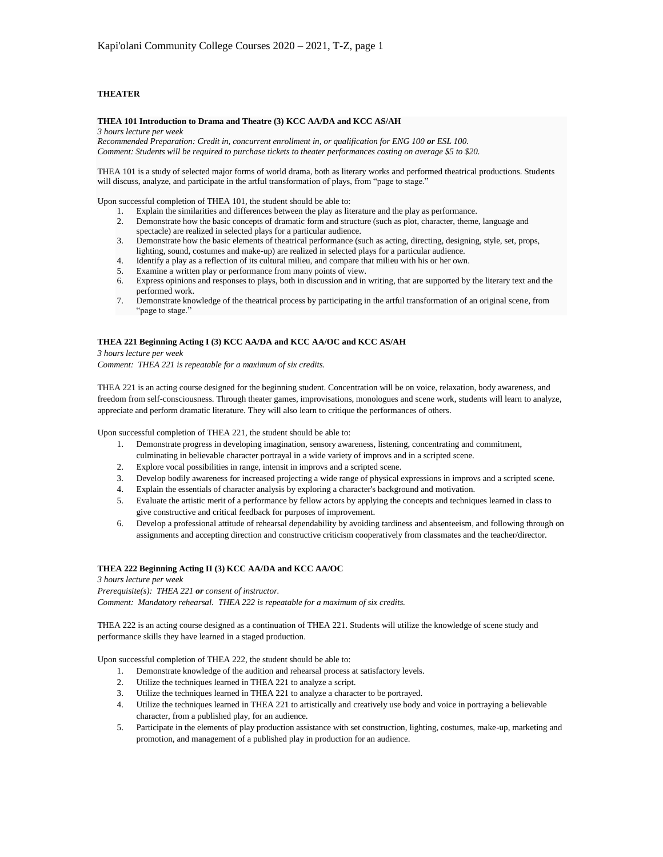## **THEATER**

#### **THEA 101 Introduction to Drama and Theatre (3) KCC AA/DA and KCC AS/AH**

*3 hours lecture per week*

*Recommended Preparation: Credit in, concurrent enrollment in, or qualification for ENG 100 or ESL 100. Comment: Students will be required to purchase tickets to theater performances costing on average \$5 to \$20.*

THEA 101 is a study of selected major forms of world drama, both as literary works and performed theatrical productions. Students will discuss, analyze, and participate in the artful transformation of plays, from "page to stage."

Upon successful completion of THEA 101, the student should be able to:

- 1. Explain the similarities and differences between the play as literature and the play as performance.
- 2. Demonstrate how the basic concepts of dramatic form and structure (such as plot, character, theme, language and spectacle) are realized in selected plays for a particular audience.
- 3. Demonstrate how the basic elements of theatrical performance (such as acting, directing, designing, style, set, props, lighting, sound, costumes and make-up) are realized in selected plays for a particular audience.
- 4. Identify a play as a reflection of its cultural milieu, and compare that milieu with his or her own.
- 5. Examine a written play or performance from many points of view.
- 6. Express opinions and responses to plays, both in discussion and in writing, that are supported by the literary text and the performed work.
- 7. Demonstrate knowledge of the theatrical process by participating in the artful transformation of an original scene, from "page to stage."

#### **THEA 221 Beginning Acting I (3) KCC AA/DA and KCC AA/OC and KCC AS/AH**

*3 hours lecture per week Comment: THEA 221 is repeatable for a maximum of six credits.*

THEA 221 is an acting course designed for the beginning student. Concentration will be on voice, relaxation, body awareness, and freedom from self-consciousness. Through theater games, improvisations, monologues and scene work, students will learn to analyze, appreciate and perform dramatic literature. They will also learn to critique the performances of others.

Upon successful completion of THEA 221, the student should be able to:

- 1. Demonstrate progress in developing imagination, sensory awareness, listening, concentrating and commitment, culminating in believable character portrayal in a wide variety of improvs and in a scripted scene.
- 2. Explore vocal possibilities in range, intensit in improvs and a scripted scene.
- 3. Develop bodily awareness for increased projecting a wide range of physical expressions in improvs and a scripted scene.
- 4. Explain the essentials of character analysis by exploring a character's background and motivation.
- 5. Evaluate the artistic merit of a performance by fellow actors by applying the concepts and techniques learned in class to give constructive and critical feedback for purposes of improvement.
- 6. Develop a professional attitude of rehearsal dependability by avoiding tardiness and absenteeism, and following through on assignments and accepting direction and constructive criticism cooperatively from classmates and the teacher/director.

# **THEA 222 Beginning Acting II (3) KCC AA/DA and KCC AA/OC**

*3 hours lecture per week*

*Prerequisite(s): THEA 221 or consent of instructor. Comment: Mandatory rehearsal. THEA 222 is repeatable for a maximum of six credits.*

THEA 222 is an acting course designed as a continuation of THEA 221. Students will utilize the knowledge of scene study and performance skills they have learned in a staged production.

Upon successful completion of THEA 222, the student should be able to:

- 1. Demonstrate knowledge of the audition and rehearsal process at satisfactory levels.
- 2. Utilize the techniques learned in THEA 221 to analyze a script.
- 3. Utilize the techniques learned in THEA 221 to analyze a character to be portrayed.
- 4. Utilize the techniques learned in THEA 221 to artistically and creatively use body and voice in portraying a believable character, from a published play, for an audience.
- 5. Participate in the elements of play production assistance with set construction, lighting, costumes, make-up, marketing and promotion, and management of a published play in production for an audience.